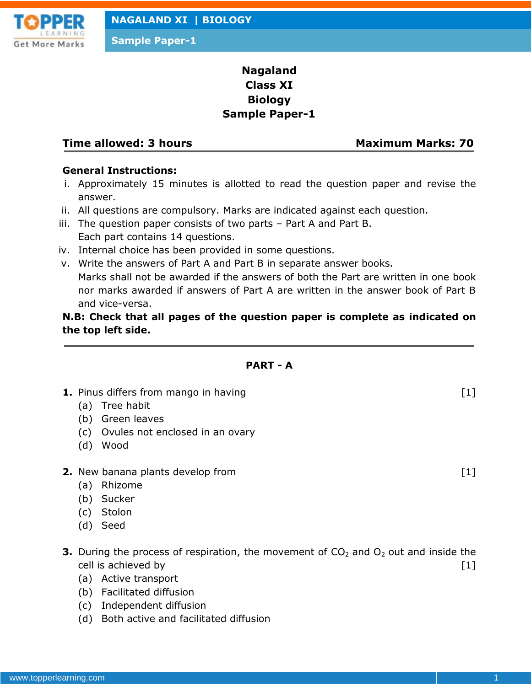

# **Nagaland Class XI Biology Sample Paper-1**

# **Time allowed: 3 hours Maximum Marks: 70**

#### **General Instructions:**

- i. Approximately 15 minutes is allotted to read the question paper and revise the answer.
- ii. All questions are compulsory. Marks are indicated against each question.
- iii. The question paper consists of two parts Part A and Part B. Each part contains 14 questions.
- iv. Internal choice has been provided in some questions.
- v. Write the answers of Part A and Part B in separate answer books. Marks shall not be awarded if the answers of both the Part are written in one book nor marks awarded if answers of Part A are written in the answer book of Part B and vice-versa.

# **N.B: Check that all pages of the question paper is complete as indicated on the top left side.**

### **PART - A**

- **1.** Pinus differs from mango in having [1]
	- (a) Tree habit
	- (b) Green leaves
	- (c) Ovules not enclosed in an ovary
	- (d) Wood
- **2.** New banana plants develop from  $[1]$ 
	- (a) Rhizome
	- (b) Sucker
	- (c) Stolon
	- (d) Seed
- **3.** During the process of respiration, the movement of  $CO<sub>2</sub>$  and  $O<sub>2</sub>$  out and inside the cell is achieved by [1]
	- (a) Active transport
	- (b) Facilitated diffusion
	- (c) Independent diffusion
	- (d) Both active and facilitated diffusion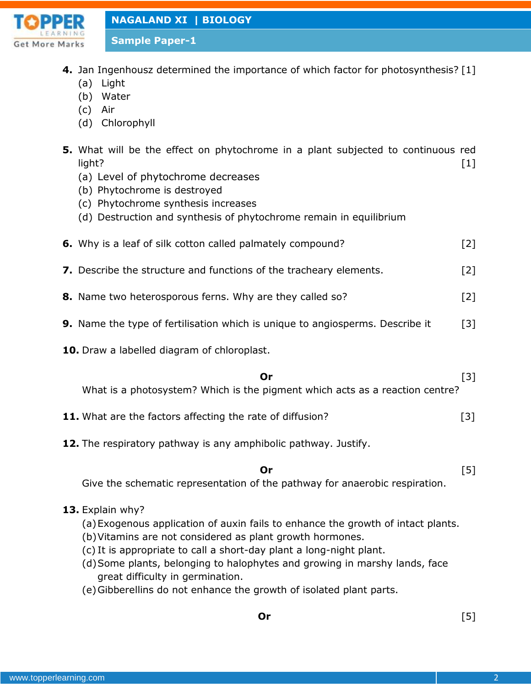

**Sample Paper-1**

- **4.** Jan Ingenhousz determined the importance of which factor for photosynthesis? [1]
	- (a) Light
	- (b) Water
	- (c) Air
	- (d) Chlorophyll
- **5.** What will be the effect on phytochrome in a plant subjected to continuous red light? [1]
	- (a) Level of phytochrome decreases
	- (b) Phytochrome is destroyed
	- (c) Phytochrome synthesis increases
	- (d) Destruction and synthesis of phytochrome remain in equilibrium
- **6.** Why is a leaf of silk cotton called palmately compound? [2]
- **7.** Describe the structure and functions of the tracheary elements. [2]
- **8.** Name two heterosporous ferns. Why are they called so? [2]
- **9.** Name the type of fertilisation which is unique to angiosperms. Describe it [3]
- **10.** Draw a labelled diagram of chloroplast.

### **Or** [3]

What is a photosystem? Which is the pigment which acts as a reaction centre?

- **11.** What are the factors affecting the rate of diffusion? [3]
- **12.** The respiratory pathway is any amphibolic pathway. Justify.

**Or** [5]

Give the schematic representation of the pathway for anaerobic respiration.

### **13.** Explain why?

- (a)Exogenous application of auxin fails to enhance the growth of intact plants.
- (b)Vitamins are not considered as plant growth hormones.
- (c) It is appropriate to call a short-day plant a long-night plant.
- (d)Some plants, belonging to halophytes and growing in marshy lands, face great difficulty in germination.
- (e)Gibberellins do not enhance the growth of isolated plant parts.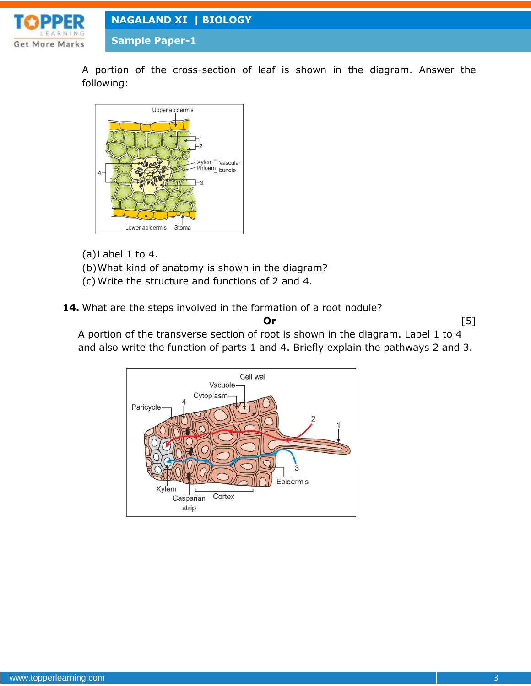

**Sample Paper-1**

A portion of the cross-section of leaf is shown in the diagram. Answer the following:



(a)Label 1 to 4.

- (b)What kind of anatomy is shown in the diagram?
- (c) Write the structure and functions of 2 and 4.

14. What are the steps involved in the formation of a root nodule?

**Or** [5] A portion of the transverse section of root is shown in the diagram. Label 1 to 4 and also write the function of parts 1 and 4. Briefly explain the pathways 2 and 3.

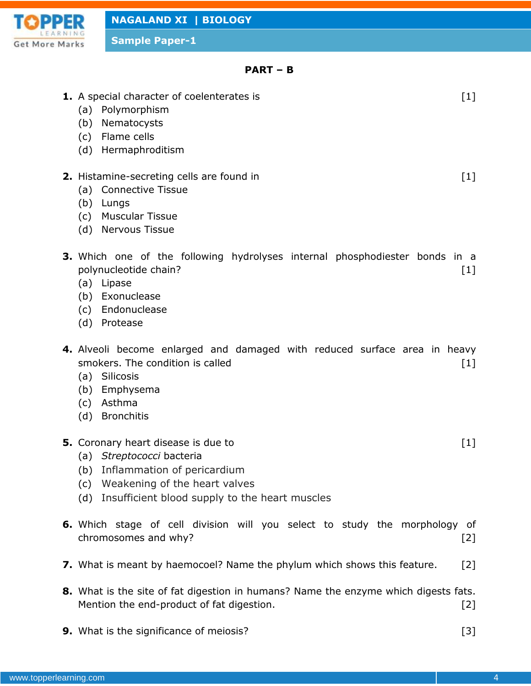

**Sample Paper-1**

#### **PART – B**

| 1. A special character of coelenterates is<br>Polymorphism<br>(a)<br>(b) Nematocysts<br>(c) Flame cells<br>(d) Hermaphroditism                                                                 | $[1]$ |
|------------------------------------------------------------------------------------------------------------------------------------------------------------------------------------------------|-------|
| 2. Histamine-secreting cells are found in<br>(a) Connective Tissue<br>(b) Lungs<br>(c) Muscular Tissue<br>(d) Nervous Tissue                                                                   | $[1]$ |
| 3. Which one of the following hydrolyses internal phosphodiester bonds in a<br>polynucleotide chain?<br>(a) Lipase<br>(b) Exonuclease<br>(c) Endonuclease<br>(d) Protease                      | $[1]$ |
| 4. Alveoli become enlarged and damaged with reduced surface area in heavy<br>smokers. The condition is called<br>(a) Silicosis<br>(b) Emphysema<br>(c) Asthma<br>(d) Bronchitis                | $[1]$ |
| 5. Coronary heart disease is due to<br>(a) Streptococci bacteria<br>(b) Inflammation of pericardium<br>(c) Weakening of the heart valves<br>(d) Insufficient blood supply to the heart muscles | $[1]$ |
| 6. Which stage of cell division will you select to study the morphology of                                                                                                                     |       |

**7.** What is meant by haemocoel? Name the phylum which shows this feature. [2]

chromosomes and why? [2]

- **8.** What is the site of fat digestion in humans? Name the enzyme which digests fats. Mention the end-product of fat digestion. The matrix of  $[2]$
- **9.** What is the significance of meiosis? [3]